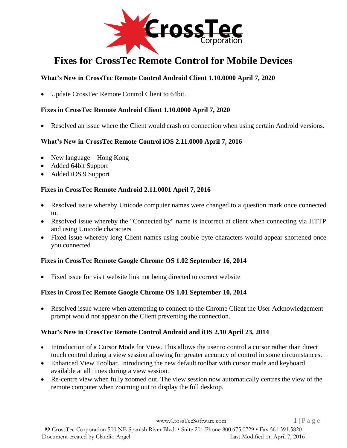

# **Fixes for CrossTec Remote Control for Mobile Devices**

## **What's New in CrossTec Remote Control Android Client 1.10.0000 April 7, 2020**

• Update CrossTec Remote Control Client to 64bit.

### **Fixes in CrossTec Remote Android Client 1.10.0000 April 7, 2020**

Resolved an issue where the Client would crash on connection when using certain Android versions.

## **What's New in CrossTec Remote Control iOS 2.11.0000 April 7, 2016**

- New language Hong Kong
- Added 64bit Support
- Added iOS 9 Support

### **Fixes in CrossTec Remote Android 2.11.0001 April 7, 2016**

- Resolved issue whereby Unicode computer names were changed to a question mark once connected to.
- Resolved issue whereby the "Connected by" name is incorrect at client when connecting via HTTP and using Unicode characters
- Fixed issue whereby long Client names using double byte characters would appear shortened once you connected

### **Fixes in CrossTec Remote Google Chrome OS 1.02 September 16, 2014**

• Fixed issue for visit website link not being directed to correct website

### **Fixes in CrossTec Remote Google Chrome OS 1.01 September 10, 2014**

• Resolved issue where when attempting to connect to the Chrome Client the User Acknowledgement prompt would not appear on the Client preventing the connection.

### **What's New in CrossTec Remote Control Android and iOS 2.10 April 23, 2014**

- Introduction of a Cursor Mode for View. This allows the user to control a cursor rather than direct touch control during a view session allowing for greater accuracy of control in some circumstances.
- Enhanced View Toolbar. Introducing the new default toolbar with cursor mode and keyboard available at all times during a view session.
- Re-centre view when fully zoomed out. The view session now automatically centres the view of the remote computer when zooming out to display the full desktop.